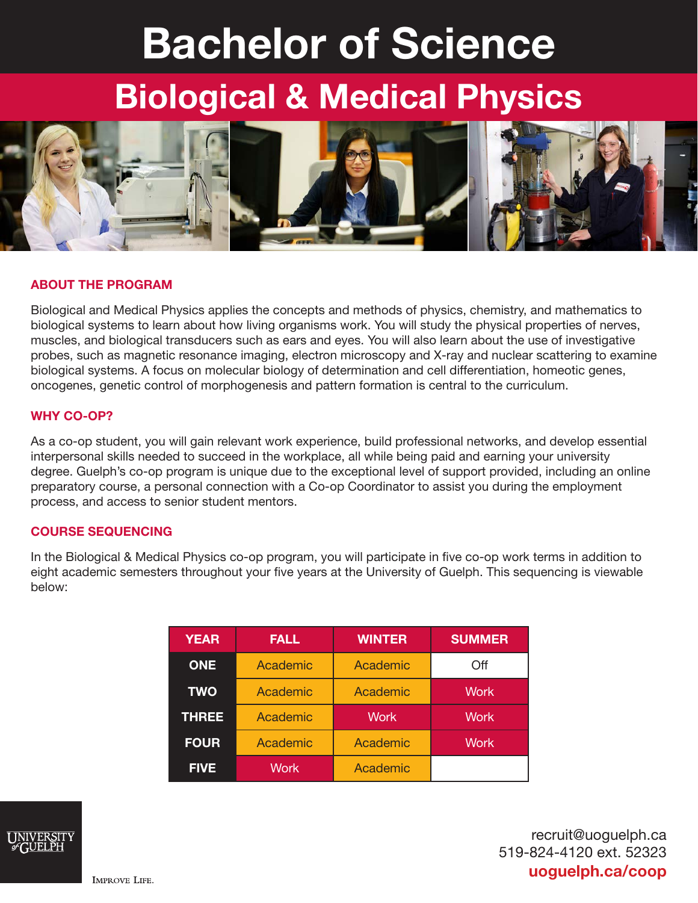# Bachelor of Science

# Biological & Medical Physics



# ABOUT THE PROGRAM

Biological and Medical Physics applies the concepts and methods of physics, chemistry, and mathematics to biological systems to learn about how living organisms work. You will study the physical properties of nerves, muscles, and biological transducers such as ears and eyes. You will also learn about the use of investigative probes, such as magnetic resonance imaging, electron microscopy and X-ray and nuclear scattering to examine biological systems. A focus on molecular biology of determination and cell differentiation, homeotic genes, oncogenes, genetic control of morphogenesis and pattern formation is central to the curriculum.

#### WHY CO-OP?

As a co-op student, you will gain relevant work experience, build professional networks, and develop essential interpersonal skills needed to succeed in the workplace, all while being paid and earning your university degree. Guelph's co-op program is unique due to the exceptional level of support provided, including an online preparatory course, a personal connection with a Co-op Coordinator to assist you during the employment process, and access to senior student mentors.

# COURSE SEQUENCING

In the Biological & Medical Physics co-op program, you will participate in five co-op work terms in addition to eight academic semesters throughout your five years at the University of Guelph. This sequencing is viewable below:

| <b>YEAR</b>  | <b>FALL</b> | <b>WINTER</b> | <b>SUMMER</b> |
|--------------|-------------|---------------|---------------|
| <b>ONE</b>   | Academic    | Academic      | Off           |
| <b>TWO</b>   | Academic    | Academic      | <b>Work</b>   |
| <b>THREE</b> | Academic    | <b>Work</b>   | <b>Work</b>   |
| <b>FOUR</b>  | Academic    | Academic      | <b>Work</b>   |
| <b>FIVE</b>  | Work        | Academic      |               |



recruit@uoguelph.ca 519-824-4120 ext. 52323 uoguelph.ca/coop